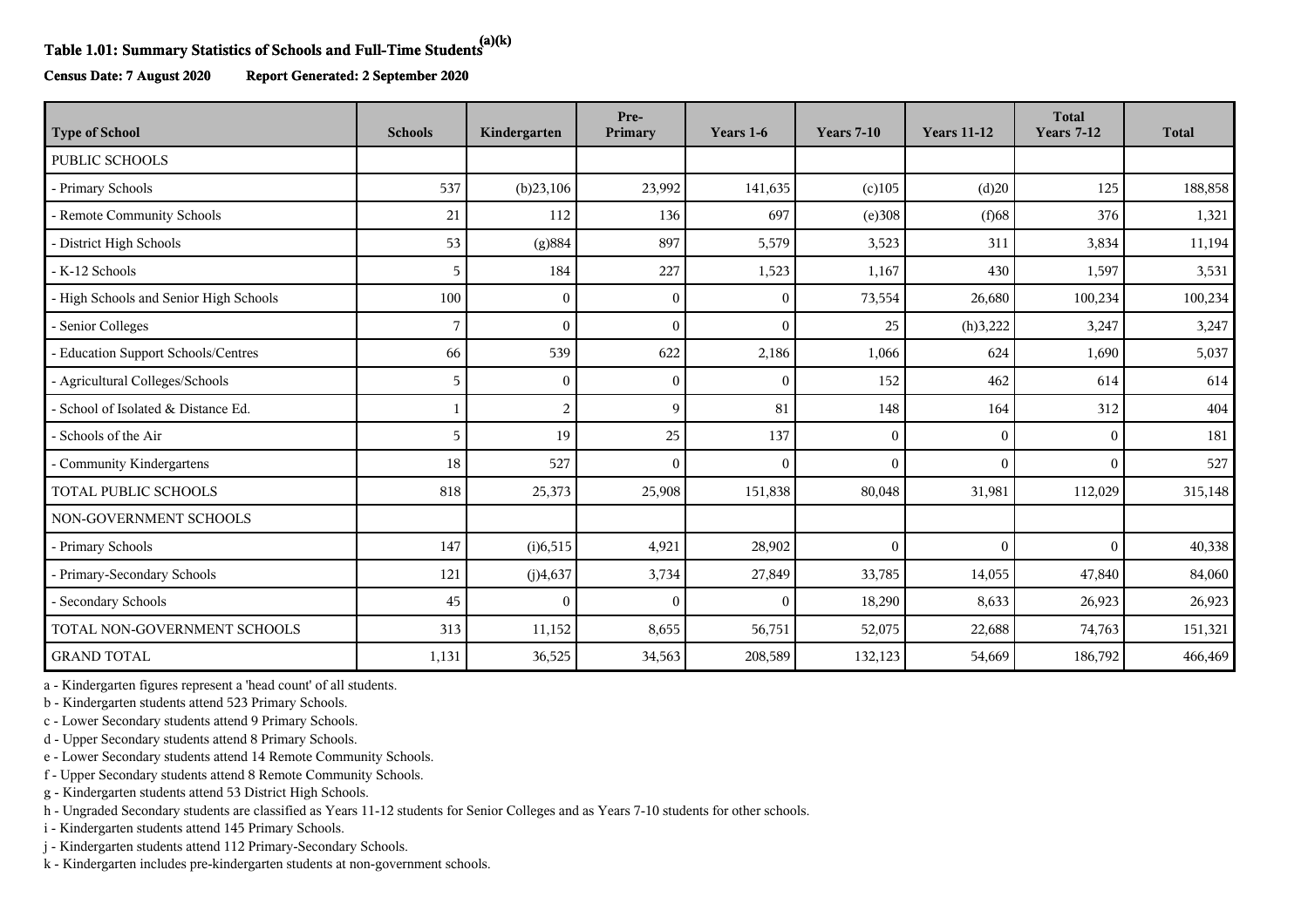## **Table 1.01: Summary Statistics of Schools and Full-Time Students(a)(k)**

**Census Date: 7 August 2020 Report Generated: 2 September 2020**

| <b>Type of School</b>                  | <b>Schools</b> | Kindergarten   | Pre-<br>Primary | Years 1-6      | <b>Years 7-10</b> | <b>Years 11-12</b> | <b>Total</b><br><b>Years 7-12</b> | <b>Total</b> |
|----------------------------------------|----------------|----------------|-----------------|----------------|-------------------|--------------------|-----------------------------------|--------------|
| PUBLIC SCHOOLS                         |                |                |                 |                |                   |                    |                                   |              |
| - Primary Schools                      | 537            | (b)23,106      | 23,992          | 141,635        | $(c)$ 105         | (d)20              | 125                               | 188,858      |
| - Remote Community Schools             | 21             | 112            | 136             | 697            | (e)308            | $(f)$ 68           | 376                               | 1,321        |
| - District High Schools                | 53             | (g)884         | 897             | 5,579          | 3,523             | 311                | 3,834                             | 11,194       |
| - K-12 Schools                         | 5              | 184            | 227             | 1,523          | 1,167             | 430                | 1,597                             | 3,531        |
| - High Schools and Senior High Schools | 100            | $\theta$       | $\sqrt{ }$      | $\mathbf{0}$   | 73,554            | 26,680             | 100,234                           | 100,234      |
| - Senior Colleges                      | 7              | $\Omega$       |                 | $\Omega$       | 25                | (h)3,222           | 3,247                             | 3,247        |
| - Education Support Schools/Centres    | 66             | 539            | 622             | 2,186          | 1,066             | 624                | 1,690                             | 5,037        |
| - Agricultural Colleges/Schools        | 5              | $\Omega$       | $\Omega$        | $\mathbf{0}$   | 152               | 462                | 614                               | 614          |
| - School of Isolated & Distance Ed.    |                | $\overline{c}$ | 9               | 81             | 148               | 164                | 312                               | 404          |
| - Schools of the Air                   | 5              | 19             | 25              | 137            | $\Omega$          | $\Omega$           | $\Omega$                          | 181          |
| Community Kindergartens                | 18             | 527            | $\Omega$        | $\overline{0}$ | $\mathbf{0}$      | $\mathbf{0}$       | $\Omega$                          | 527          |
| TOTAL PUBLIC SCHOOLS                   | 818            | 25,373         | 25,908          | 151,838        | 80,048            | 31,981             | 112,029                           | 315,148      |
| NON-GOVERNMENT SCHOOLS                 |                |                |                 |                |                   |                    |                                   |              |
| - Primary Schools                      | 147            | (i)6,515       | 4,921           | 28,902         | $\mathbf{0}$      | $\theta$           | $\Omega$                          | 40,338       |
| - Primary-Secondary Schools            | 121            | (j)4,637       | 3,734           | 27,849         | 33,785            | 14,055             | 47,840                            | 84,060       |
| - Secondary Schools                    | 45             | $\Omega$       | $\sqrt{ }$      | $\mathbf{0}$   | 18,290            | 8,633              | 26,923                            | 26,923       |
| TOTAL NON-GOVERNMENT SCHOOLS           | 313            | 11,152         | 8,655           | 56,751         | 52,075            | 22,688             | 74,763                            | 151,321      |
| <b>GRAND TOTAL</b>                     | 1,131          | 36,525         | 34,563          | 208,589        | 132,123           | 54,669             | 186,792                           | 466,469      |

a - Kindergarten figures represent a 'head count' of all students.

b - Kindergarten students attend 523 Primary Schools.

c - Lower Secondary students attend 9 Primary Schools.

d - Upper Secondary students attend 8 Primary Schools.

e - Lower Secondary students attend 14 Remote Community Schools.

f - Upper Secondary students attend 8 Remote Community Schools.

g - Kindergarten students attend 53 District High Schools.

h - Ungraded Secondary students are classified as Years 11-12 students for Senior Colleges and as Years 7-10 students for other schools.

i - Kindergarten students attend 145 Primary Schools.

j - Kindergarten students attend 112 Primary-Secondary Schools.

k - Kindergarten includes pre-kindergarten students at non-government schools.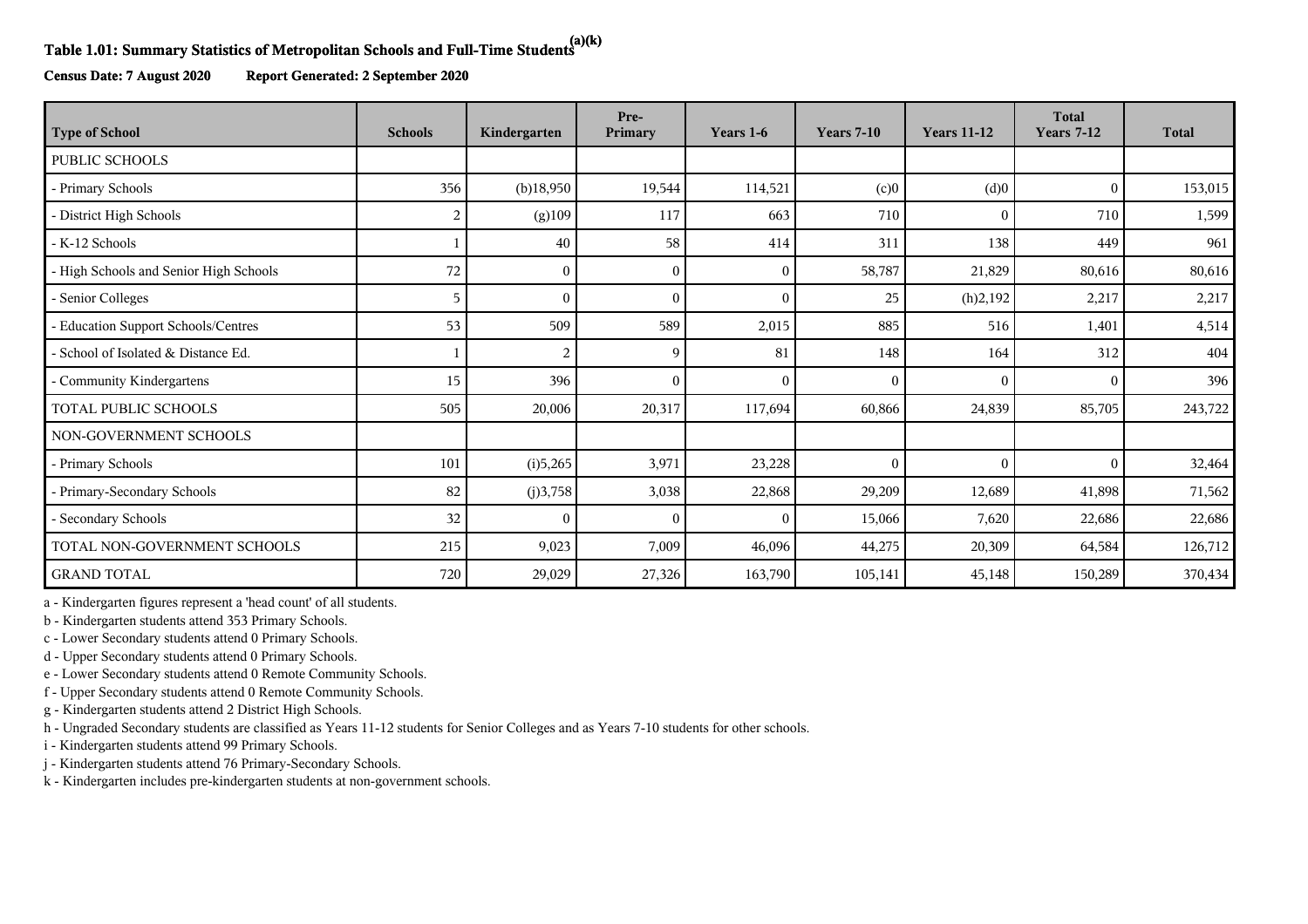## **Table 1.01: Summary Statistics of Metropolitan Schools and Full-Time Students(a)(k)**

**Census Date: 7 August 2020 Report Generated: 2 September 2020**

| <b>Type of School</b>                  | <b>Schools</b> | Kindergarten | Pre-<br>Primary | Years 1-6    | <b>Years 7-10</b> | <b>Years 11-12</b> | <b>Total</b><br><b>Years 7-12</b> | <b>Total</b> |
|----------------------------------------|----------------|--------------|-----------------|--------------|-------------------|--------------------|-----------------------------------|--------------|
| <b>PUBLIC SCHOOLS</b>                  |                |              |                 |              |                   |                    |                                   |              |
| - Primary Schools                      | 356            | $(b)$ 18,950 | 19,544          | 114,521      | (c)0              | (d)0               | $\Omega$                          | 153,015      |
| - District High Schools                | 2              | (g)109       | 117             | 663          | 710               | $\Omega$           | 710                               | 1,599        |
| - K-12 Schools                         |                | 40           | 58              | 414          | 311               | 138                | 449                               | 961          |
| - High Schools and Senior High Schools | 72             | $\Omega$     | $\left($        | $\mathbf{0}$ | 58,787            | 21,829             | 80,616                            | 80,616       |
| - Senior Colleges                      | 5              |              |                 | $\mathbf{0}$ | 25                | (h)2,192           | 2,217                             | 2,217        |
| - Education Support Schools/Centres    | 53             | 509          | 589             | 2,015        | 885               | 516                | 1,401                             | 4,514        |
| - School of Isolated & Distance Ed.    |                | 2            | q               | 81           | 148               | 164                | 312                               | 404          |
| - Community Kindergartens              | 15             | 396          |                 | $\theta$     | $\theta$          | $\Omega$           | $\Omega$                          | 396          |
| TOTAL PUBLIC SCHOOLS                   | 505            | 20,006       | 20,317          | 117,694      | 60,866            | 24,839             | 85,705                            | 243,722      |
| NON-GOVERNMENT SCHOOLS                 |                |              |                 |              |                   |                    |                                   |              |
| - Primary Schools                      | 101            | (i)5,265     | 3,971           | 23,228       | $\mathbf{0}$      | $\mathbf{0}$       | $\theta$                          | 32,464       |
| - Primary-Secondary Schools            | 82             | (j)3,758     | 3,038           | 22,868       | 29,209            | 12,689             | 41,898                            | 71,562       |
| - Secondary Schools                    | 32             | $\Omega$     | 0               | $\mathbf{0}$ | 15,066            | 7,620              | 22,686                            | 22,686       |
| TOTAL NON-GOVERNMENT SCHOOLS           | 215            | 9,023        | 7,009           | 46,096       | 44,275            | 20,309             | 64,584                            | 126,712      |
| <b>GRAND TOTAL</b>                     | 720            | 29,029       | 27,326          | 163,790      | 105,141           | 45,148             | 150,289                           | 370,434      |

a - Kindergarten figures represent a 'head count' of all students.

b - Kindergarten students attend 353 Primary Schools.

c - Lower Secondary students attend 0 Primary Schools.

d - Upper Secondary students attend 0 Primary Schools.

e - Lower Secondary students attend 0 Remote Community Schools.

f - Upper Secondary students attend 0 Remote Community Schools.

g - Kindergarten students attend 2 District High Schools.

h - Ungraded Secondary students are classified as Years 11-12 students for Senior Colleges and as Years 7-10 students for other schools.

i - Kindergarten students attend 99 Primary Schools.

j - Kindergarten students attend 76 Primary-Secondary Schools.

k - Kindergarten includes pre-kindergarten students at non-government schools.